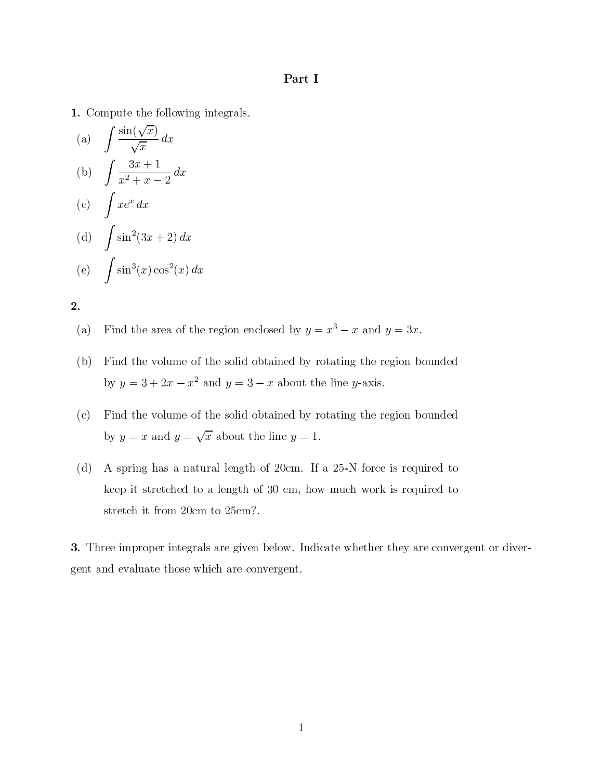## Part I

1. Compute the following integrals.

(a) 
$$
\int \frac{\sin(\sqrt{x})}{\sqrt{x}} dx
$$
  
\n(b) 
$$
\int \frac{3x+1}{x^2+x-2} dx
$$
  
\n(c) 
$$
\int xe^x dx
$$
  
\n(d) 
$$
\int \sin^2(3x+2) dx
$$
  
\n(e) 
$$
\int \sin^3(x) \cos^2(x) dx
$$

 $2.$ 

- Find the area of the region enclosed by  $y = x^3 x$  and  $y = 3x$ .  $(a)$
- Find the volume of the solid obtained by rotating the region bounded (b) by  $y = 3 + 2x - x^2$  and  $y = 3 - x$  about the line y-axis.
- $(c)$ Find the volume of the solid obtained by rotating the region bounded by  $y = x$  and  $y = \sqrt{x}$  about the line  $y = 1$ .
- A spring has a natural length of 20cm. If a 25-N force is required to  $(d)$ keep it stretched to a length of 30 cm, how much work is required to stretch it from 20cm to 25cm?.

3. Three improper integrals are given below. Indicate whether they are convergent or divergent and evaluate those which are convergent.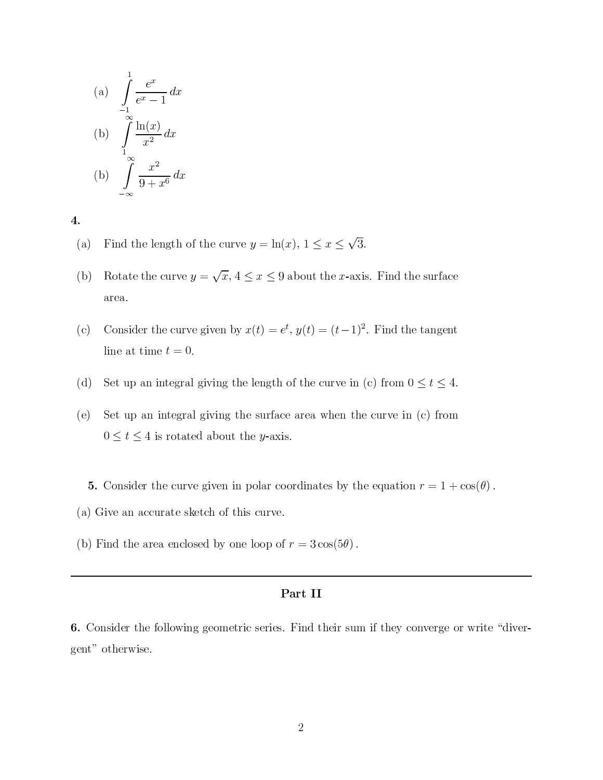(a) 
$$
\int_{-1}^{1} \frac{e^x}{e^x - 1} dx
$$
  
\n(b) 
$$
\int_{1}^{\infty} \frac{\ln(x)}{x^2} dx
$$
  
\n(b) 
$$
\int_{-\infty}^{\infty} \frac{x^2}{9 + x^6} dx
$$

 $\overline{4}$ .

- Find the length of the curve  $y = \ln(x)$ ,  $1 \le x \le \sqrt{3}$ .  $(a)$
- Rotate the curve  $y = \sqrt{x}$ ,  $4 \le x \le 9$  about the *x*-axis. Find the surface  $(b)$ area.
- Consider the curve given by  $x(t) = e^t$ ,  $y(t) = (t-1)^2$ . Find the tangent  $(c)$ line at time  $t = 0$ .
- Set up an integral giving the length of the curve in (c) from  $0 \le t \le 4$ .  $(d)$
- Set up an integral giving the surface area when the curve in  $(c)$  from  $(e)$  $0 \le t \le 4$  is rotated about the *y*-axis.
	- 5. Consider the curve given in polar coordinates by the equation  $r = 1 + \cos(\theta)$ .
- (a) Give an accurate sketch of this curve.
- (b) Find the area enclosed by one loop of  $r = 3\cos(5\theta)$ .

## Part II

**6.** Consider the following geometric series. Find their sum if they converge or write "divergent" otherwise.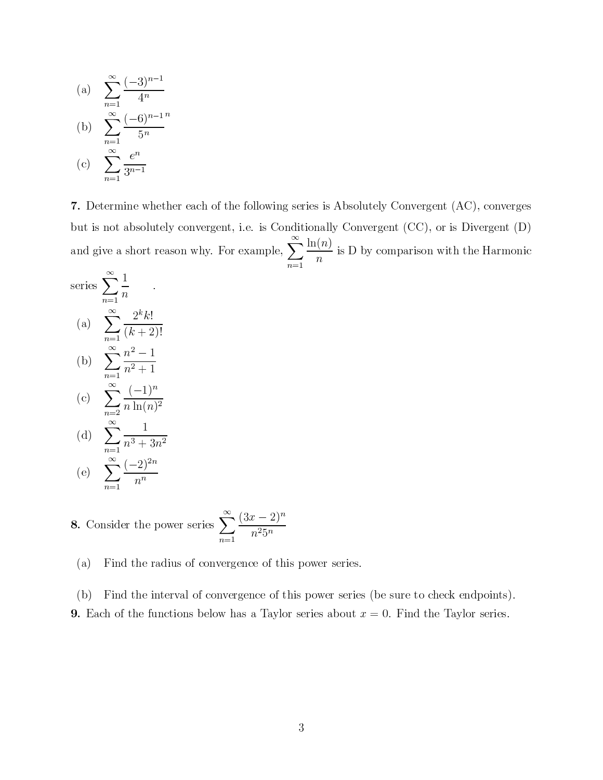(a) 
$$
\sum_{n=1}^{\infty} \frac{(-3)^{n-1}}{4^n}
$$
  
\n(b) 
$$
\sum_{n=1}^{\infty} \frac{(-6)^{n-1}}{5^n}
$$
  
\n(c) 
$$
\sum_{n=1}^{\infty} \frac{e^n}{3^{n-1}}
$$

7. Determine whether each of the following series is Absolutely Convergent (AC), converges but is not absolutely convergent, i.e. is Conditionally Convergent (CC), or is Divergent (D) and give a short reason why. For example,  $\sum_{n=1}^{\infty} \frac{\ln(n)}{n}$  is D by comparison with the Harmonic

series 
$$
\sum_{n=1}^{\infty} \frac{1}{n}
$$
  
\n(a) 
$$
\sum_{n=1}^{\infty} \frac{2^k k!}{(k+2)!}
$$
  
\n(b) 
$$
\sum_{n=1}^{\infty} \frac{n^2 - 1}{n^2 + 1}
$$
  
\n(c) 
$$
\sum_{n=2}^{\infty} \frac{(-1)^n}{n \ln(n)^2}
$$
  
\n(d) 
$$
\sum_{n=1}^{\infty} \frac{1}{n^3 + 3n^2}
$$

(e) 
$$
\sum_{n=1}^{\infty} \frac{(-2)^{2n}}{n^n}
$$

**8.** Consider the power series 
$$
\sum_{n=1}^{\infty} \frac{(3x-2)^n}{n^2 5^n}
$$

Find the radius of convergence of this power series.  $(a)$ 

Find the interval of convergence of this power series (be sure to check endpoints). (b) **9.** Each of the functions below has a Taylor series about  $x = 0$ . Find the Taylor series.